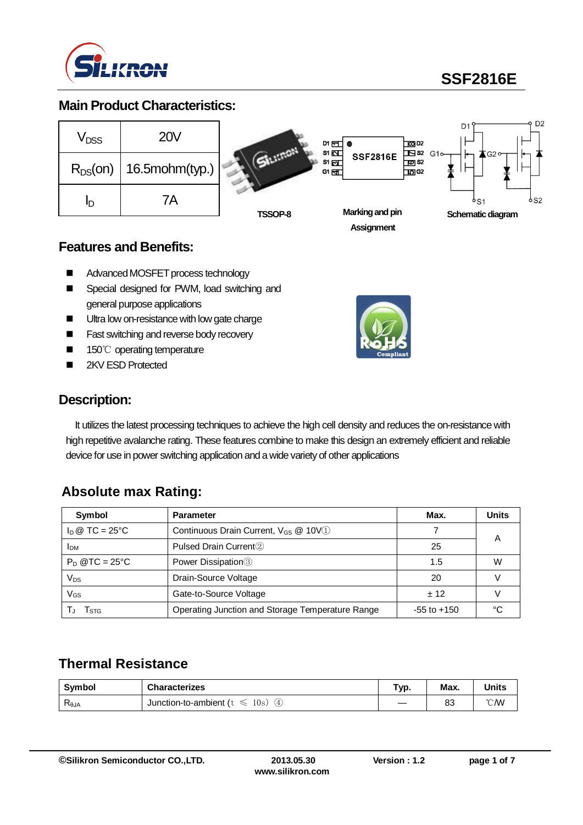

**SSF2816E**

### **Main Product Characteristics:**



### **Features and Benefits:**

- AdvancedMOSFET process technology
- Special designed for PWM, load switching and general purpose applications
- Ultra low on-resistance with low gate charge
- Fast switching and reverse body recovery
- 150℃ operating temperature
- 2KV ESD Protected



### **Description:**

It utilizes the latest processing techniques to achieve the high cell density and reduces the on-resistance with high repetitive avalanche rating. These features combine to make this design an extremely efficient and reliable device for use in power switching application and a wide variety of other applications

### **Absolute max Rating:**

| Symbol                         | <b>Parameter</b>                                 | Max.            | <b>Units</b> |
|--------------------------------|--------------------------------------------------|-----------------|--------------|
| $I_D \otimes TC = 25^{\circ}C$ | Continuous Drain Current, V <sub>GS</sub> @ 10V1 |                 | Α            |
| <b>IDM</b>                     | Pulsed Drain Current <sup>2</sup>                | 25              |              |
| $P_D$ @TC = 25°C               | Power Dissipation <sup>3</sup>                   | 1.5             | W            |
| $V_{DS}$                       | Drain-Source Voltage                             | 20              |              |
| $V_{GS}$                       | Gate-to-Source Voltage                           | ± 12            |              |
| <b>STG</b>                     | Operating Junction and Storage Temperature Range | $-55$ to $+150$ | °۲           |

## **Thermal Resistance**

| Symbol                            | <b>Characterizes</b>                        | "yp | Max. | <b>Units</b>     |
|-----------------------------------|---------------------------------------------|-----|------|------------------|
| $\mathsf{R}_{\theta \mathsf{JA}}$ | 10s)<br>Junction-to-ambient (t)<br>(4)<br>≤ |     | 83   | $\mathcal{C}$ MV |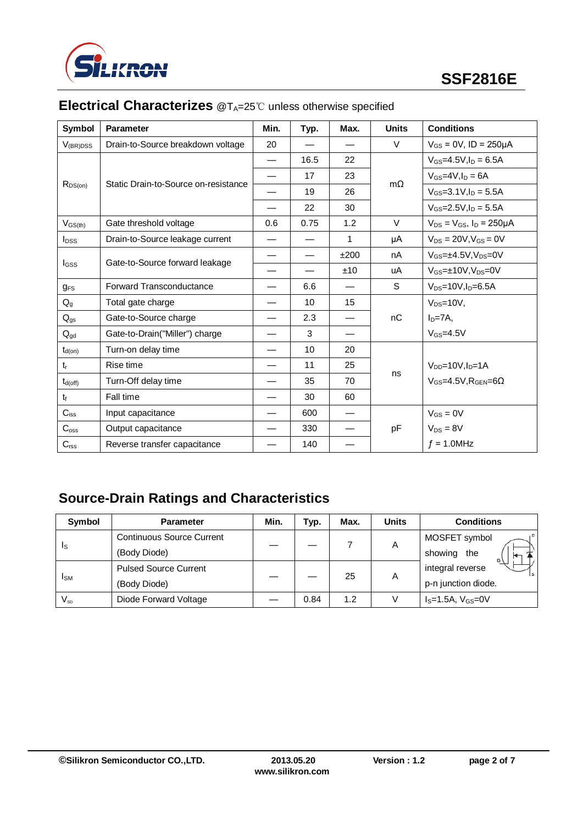

| Symbol                  | <b>Parameter</b>                     | Min. | Typ. | Max.                     | <b>Units</b> | <b>Conditions</b>                     |
|-------------------------|--------------------------------------|------|------|--------------------------|--------------|---------------------------------------|
| $V_{(BR)DSS}$           | Drain-to-Source breakdown voltage    |      |      |                          | $\vee$       | $V_{GS} = 0V$ , ID = 250µA            |
|                         |                                      |      | 16.5 | 22                       | $m\Omega$    | $V_{GS} = 4.5V, I_D = 6.5A$           |
|                         | Static Drain-to-Source on-resistance |      | 17   | 23                       |              | $V_{GS}$ =4V, $I_D$ = 6A              |
| $R_{DS(on)}$            |                                      |      | 19   | 26                       |              | $V_{GS} = 3.1 V, I_D = 5.5 A$         |
|                         |                                      |      | 22   | 30                       |              | $V_{GS} = 2.5 V, I_D = 5.5 A$         |
| $V_{GS(th)}$            | Gate threshold voltage               | 0.6  | 0.75 | 1.2                      | $\vee$       | $V_{DS} = V_{GS}$ , $I_D = 250 \mu A$ |
| <b>I</b> <sub>pss</sub> | Drain-to-Source leakage current      |      |      | 1                        | μA           | $V_{DS} = 20V$ , $V_{GS} = 0V$        |
|                         |                                      |      |      | ±200                     | nA           | $V_{GS} = \pm 4.5V$ . $V_{DS} = 0V$   |
| <b>I</b> GSS            | Gate-to-Source forward leakage       |      |      | ±10                      | uA           | $V_{GS} = \pm 10V$ , $V_{DS} = 0V$    |
| $g_{FS}$                | Forward Transconductance             |      | 6.6  |                          | S            | $V_{DS}$ =10V, $I_D$ =6.5A            |
| $Q_{q}$                 | Total gate charge                    |      | 10   | 15                       |              | $V_{DS}=10V,$                         |
| $Q_{gs}$                | Gate-to-Source charge                |      | 2.3  |                          | nC           | $ID=7A,$                              |
| $Q_{gd}$                | Gate-to-Drain("Miller") charge       |      | 3    |                          |              | $V$ <sub>GS</sub> =4.5 $V$            |
| $t_{d(on)}$             | Turn-on delay time                   |      | 10   | 20                       |              |                                       |
| $t_{r}$                 | Rise time                            |      | 11   | 25                       |              | $V_{DD} = 10V, I_D = 1A$              |
| $t_{d(off)}$            | Turn-Off delay time                  |      | 35   | 70                       | ns           | $V_{GS}$ =4.5V, $R_{GFN}$ =6 $\Omega$ |
| $t_{\rm f}$             | Fall time                            |      | 30   | 60                       |              |                                       |
| $C_{iss}$               | Input capacitance                    |      | 600  | $\overline{\phantom{0}}$ |              | $V_{GS} = 0V$                         |
| $C_{\rm oss}$           | Output capacitance                   |      | 330  |                          | pF           | $V_{DS} = 8V$                         |
| $C_{\text{rss}}$        | Reverse transfer capacitance         |      | 140  |                          |              | $f = 1.0$ MHz                         |

# **Electrical Characterizes** @T<sub>A</sub>=25℃ unless otherwise specified

# **Source-Drain Ratings and Characteristics**

| <b>Symbol</b>          | <b>Parameter</b>                 | Min. | Тур. | Max. | <b>Units</b> | <b>Conditions</b>   |
|------------------------|----------------------------------|------|------|------|--------------|---------------------|
| Is                     | <b>Continuous Source Current</b> |      |      |      | A            | MOSFET symbol       |
|                        | (Body Diode)                     |      |      |      |              | showing the         |
| <b>I</b> <sub>SM</sub> | <b>Pulsed Source Current</b>     |      |      |      |              | integral reverse    |
|                        | (Body Diode)                     |      |      | 25   | Α            | p-n junction diode. |
| $V_{SD}$               | Diode Forward Voltage            |      | 0.84 | 1.2  |              | $IS=1.5A, VGS=0V$   |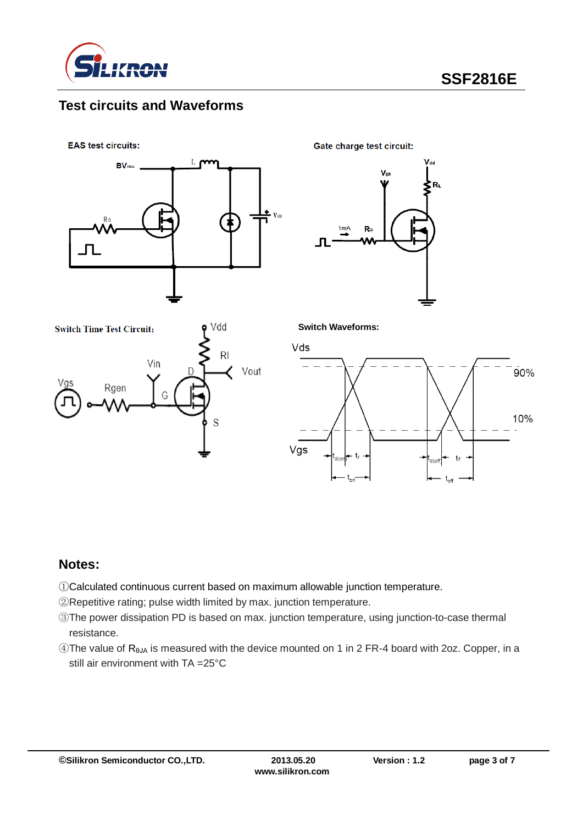

### **Test circuits and Waveforms**

**EAS test circuits:** 



Gate charge test circuit:





**Switch Waveforms:**



#### **Notes:**

①Calculated continuous current based on maximum allowable junction temperature.

②Repetitive rating; pulse width limited by max. junction temperature.

- ③The power dissipation PD is based on max. junction temperature, using junction-to-case thermal resistance.
- $\widehat{A}$ The value of R<sub>θJA</sub> is measured with the device mounted on 1 in 2 FR-4 board with 2oz. Copper, in a still air environment with TA =25°C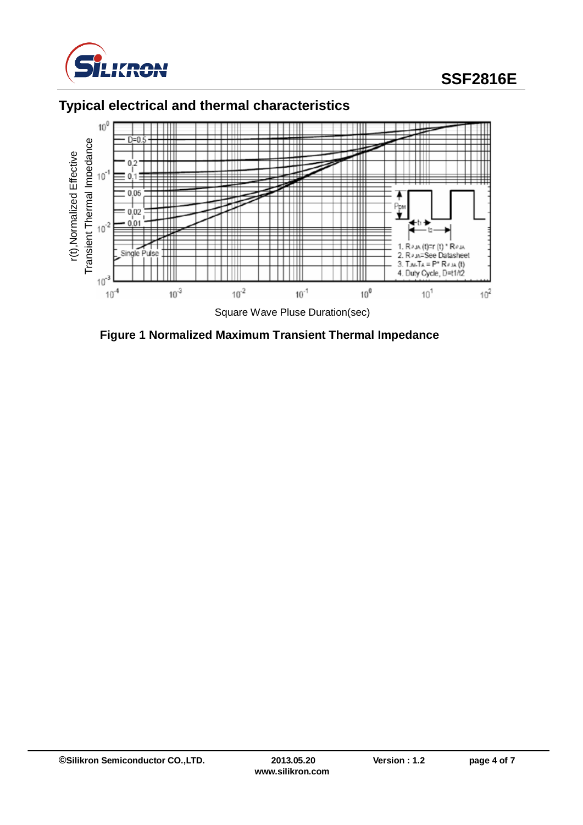

# **SSF2816E**

# **Typical electrical and thermal characteristics**



**Figure 1 Normalized Maximum Transient Thermal Impedance**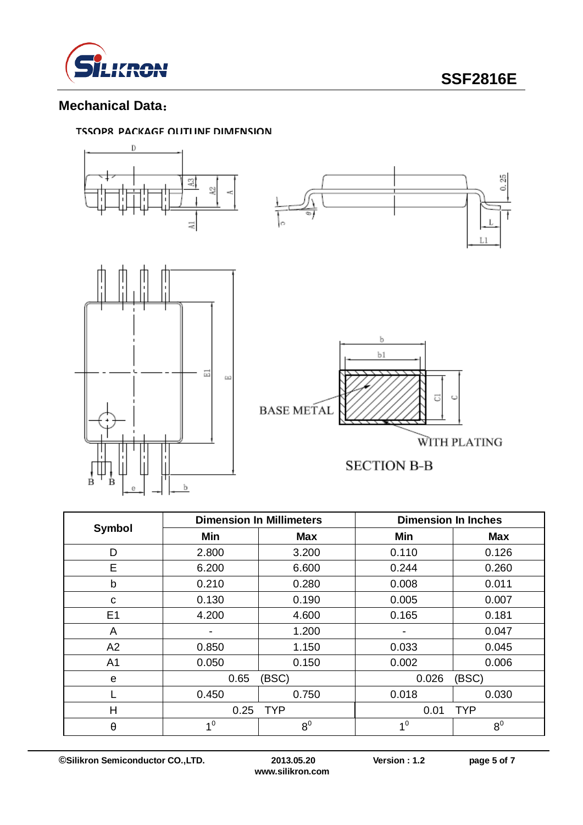

### **Mechanical Data**:

#### **TSSOP8 PACKAGE OUTLINE DIMENSION**



|                | <b>Dimension In Millimeters</b> |                | <b>Dimension In Inches</b> |                |  |
|----------------|---------------------------------|----------------|----------------------------|----------------|--|
| Symbol         | Min                             | Max            | Min                        | <b>Max</b>     |  |
| D              | 2.800                           | 3.200          | 0.110                      | 0.126          |  |
| E              | 6.200                           | 6.600          | 0.244                      | 0.260          |  |
| b              | 0.210                           | 0.280          | 0.008                      | 0.011          |  |
| C              | 0.130                           | 0.190          | 0.005                      | 0.007          |  |
| E <sub>1</sub> | 4.200                           | 4.600          | 0.165                      | 0.181          |  |
| A              |                                 | 1.200          |                            | 0.047          |  |
| A2             | 0.850                           | 1.150          | 0.033                      | 0.045          |  |
| A <sub>1</sub> | 0.050                           | 0.150          | 0.002                      | 0.006          |  |
| e              | 0.65                            | (BSC)          | 0.026                      | (BSC)          |  |
|                | 0.450                           | 0.750          | 0.018                      | 0.030          |  |
| Н              | 0.25                            | <b>TYP</b>     |                            | <b>TYP</b>     |  |
| $\theta$       | 1 <sup>0</sup>                  | 8 <sup>0</sup> | 1 <sup>0</sup>             | 8 <sup>0</sup> |  |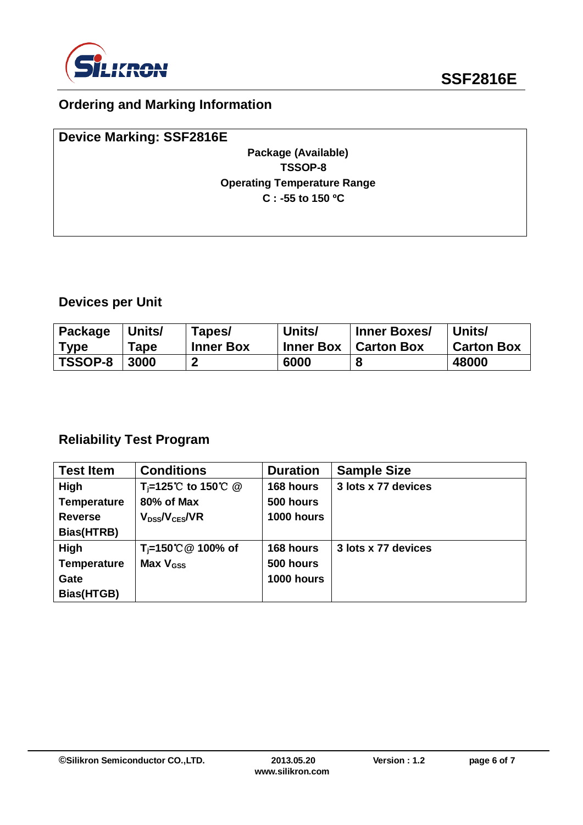

## **Ordering and Marking Information**

| <b>Device Marking: SSF2816E</b>    |  |
|------------------------------------|--|
| Package (Available)                |  |
| TSSOP-8                            |  |
| <b>Operating Temperature Range</b> |  |
| $C: -55$ to 150 °C                 |  |
|                                    |  |
|                                    |  |

# **Devices per Unit**

| Package        | Units/ | Tapes/           | Units/           | <b>Inner Boxes/</b> | Units/            |
|----------------|--------|------------------|------------------|---------------------|-------------------|
| <b>Type</b>    | Tape   | <b>Inner Box</b> | <b>Inner Box</b> | <b>Carton Box</b>   | <b>Carton Box</b> |
| <b>TSSOP-8</b> | 3000   |                  | 6000             |                     | 48000             |

# **Reliability Test Program**

| <b>Test Item</b>   | <b>Conditions</b>                                          | <b>Duration</b> | <b>Sample Size</b>  |
|--------------------|------------------------------------------------------------|-----------------|---------------------|
| High               | T <sub>i</sub> =125 <sup>°</sup> C to 150 <sup>°</sup> C @ | 168 hours       | 3 lots x 77 devices |
| <b>Temperature</b> | 80% of Max                                                 | 500 hours       |                     |
| <b>Reverse</b>     | $V_{DSs}/V_{CES}/VR$                                       | 1000 hours      |                     |
| Bias(HTRB)         |                                                            |                 |                     |
| High               | T <sub>i</sub> =150℃ @ 100% of                             | 168 hours       | 3 lots x 77 devices |
| <b>Temperature</b> | Max $V_{\rm GSS}$                                          | 500 hours       |                     |
| Gate               |                                                            | 1000 hours      |                     |
| Bias(HTGB)         |                                                            |                 |                     |